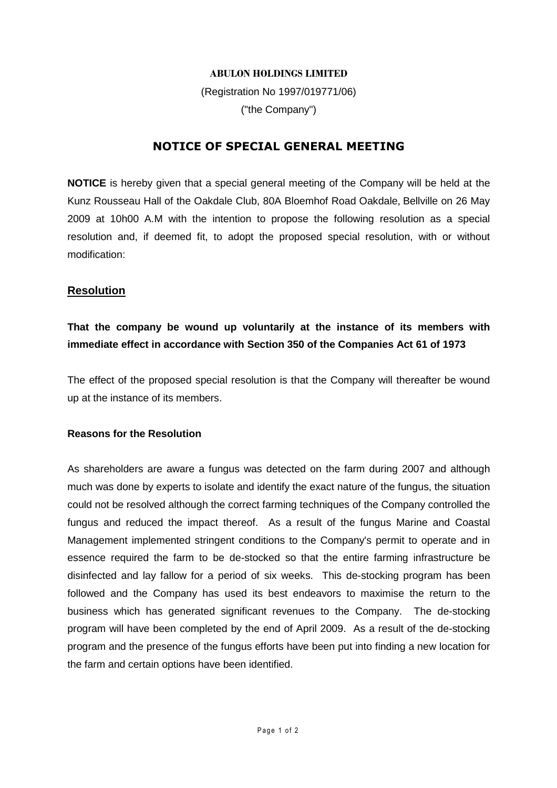#### **ABULON HOLDINGS LIMITED**

(Registration No 1997/019771/06) ("the Company")

## **NOTICE OF SPECIAL GENERAL MEETING**

**NOTICE** is hereby given that a special general meeting of the Company will be held at the Kunz Rousseau Hall of the Oakdale Club, 80A Bloemhof Road Oakdale, Bellville on 26 May 2009 at 10h00 A.M with the intention to propose the following resolution as a special resolution and, if deemed fit, to adopt the proposed special resolution, with or without modification:

### **Resolution**

# **That the company be wound up voluntarily at the instance of its members with immediate effect in accordance with Section 350 of the Companies Act 61 of 1973**

The effect of the proposed special resolution is that the Company will thereafter be wound up at the instance of its members.

#### **Reasons for the Resolution**

As shareholders are aware a fungus was detected on the farm during 2007 and although much was done by experts to isolate and identify the exact nature of the fungus, the situation could not be resolved although the correct farming techniques of the Company controlled the fungus and reduced the impact thereof. As a result of the fungus Marine and Coastal Management implemented stringent conditions to the Company's permit to operate and in essence required the farm to be de-stocked so that the entire farming infrastructure be disinfected and lay fallow for a period of six weeks. This de-stocking program has been followed and the Company has used its best endeavors to maximise the return to the business which has generated significant revenues to the Company. The de-stocking program will have been completed by the end of April 2009. As a result of the de-stocking program and the presence of the fungus efforts have been put into finding a new location for the farm and certain options have been identified.